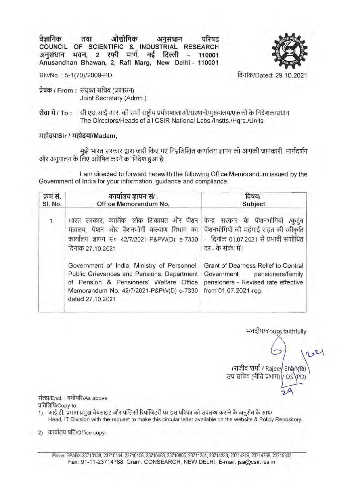aैज्ञानिक तथा औद्योगिक अनुसंधान परिषद<br>Colling: CF CollEtics a Waysharth Propinsia **COUNCIL OF SCIENTIFIC & INDUSTRIAL RESEARCH**  अनुसंधान भवन, 2 रफी मार्ग, नई दिल्ली - 110001 **Anusandhan Bhawan, 2, Rafi Marg, New Delhi - 110001** 



सा०/No.: 5-1(70)/2009-PD

**प्रेषक / From: संयुक्त सचिव (प्रशासन)** Joint Secretary (Admn.)

**सेवा में / To: सी.एस.आई.आर. की सभी राष्ट्रीय प्रयोगशालाओं/संस्थानों/मुख्यालय/एककों के निदेशक/प्रधान** The Directors/Heads of all CSIR National Labs./Instts./Hgrs./Units

## *Hहोदय/Sir / महोदया/Madam.*

मुझे भारत सरकार द्वारा जारी किए गए निम्नलिखित कार्यालय ज्ञापन को आपकी जानकारी, मार्गदर्शन और अनुपालन के लिए अग्रेषित करने का निदेश हुआ है:

I am directed to forward herewith the following Office Memorandum issued by the Government of India for your information, guidance and compliance:

| क्रम सं.<br>SI. No. | कार्यालय ज्ञापन सं/ .<br>Office Memorandum No.                                                                                                                                                      | विषय/<br>Subject                                                                                                                                   |
|---------------------|-----------------------------------------------------------------------------------------------------------------------------------------------------------------------------------------------------|----------------------------------------------------------------------------------------------------------------------------------------------------|
| 1.                  | भारत सरकार, कार्मिक, लोक शिकायत और पेंशन<br>मंत्रालय, पेंशन और पेंशनभोगी कल्याण विभाग का<br>कार्यालय ज्ञापन सं० 42/7/2021-P&PW(D) e-7330<br>दिनांक 27.10.2021                                       | केन्द्र सरकार के पेंशनभोगियों<br>/कुटुब<br>पेंशनभोगियों को महंगाई राहत की स्वीकृति<br>- दिनांक 01.07.2021 से प्रभावी संशोधित<br>दर - के संबंध में। |
|                     | Government of India, Ministry of Personnel,<br>Public Grievances and Pensions, Department<br>of Pension & Pensioners' Welfare Office<br>Memorandum No. 42/7/2021-P&PW(D) e-7330<br>dated 27.10.2021 | Grant of Dearness Relief to Central<br>Government pensioners/family<br>pensioners - Revised rate effective<br>from 01.07.2021-reg.                 |

भवदीय/Yours faithfully

 $\sqrt{221}$ (राजीव शर्मा / Rajeev Shanna) उप सचिव (नीति प्रभाग) $\sqrt{\rm DS}$  $29$ 

संलग्न/Encl.: यथोपरि/As above प्रतिलिपि/Copy to:

- 1) आई.टी. प्रभाग प्रमुख वेबसाइट और पॉलिसी रिपॉजिटरी पर इस परिपत्र को उपलब्ध कराने के अनुरोध के साथ/ Head, IT Division with the request to make this circular letter available on the website & Policy Repository.
- 2) कार्यालय प्रति/Office copy.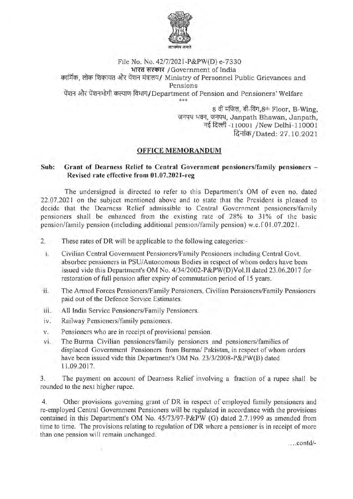

File No. No. 42/7/2021-P&PW(D) e-7330 भारत सरकार /Government of India कार्मिक. लोक शिकायत और पेंशन मंत्रालय/ Ministry of Personnel Public Grievances and Pensions पेंशन और पेंशनभोगी कल्याण विभाग/Department of Pension and Pensioners' Welfare \*\*\*

8 वीं मंजिल, बी-विंग,8th Floor, B-Wing,<br>जनपथ भवन, जनपथ, Janpath Bhawan, Janpath, नई दिल्ली -110001 /New Delhi-110001 दिनांक / Dated: 27.10.2021

## **OFFICE MEMORANDUM**

## **Sub: Grant of Dearness Relief to Central Government pensioners/family pensioners** - **Revised rate effective from 01.07.2021-reg**

The undersigned is directed to refer to this Department's OM of even no. dated 22.07.2021 on the subject mentioned above and to state that the President is pleased to decide that the Dearness Relief admissible to Central Government pensioners/family pensioners shall be enhanced from the existing rate of 28% to 31% of the basic pension/family pension (including additional pension/family pension) w.e. f 01.07.2021.

- 2. These rates of DR will be applicable to the following categories:-
- i. Civilian Central Government Pensioners/Family Pensioners including Central Govt. absorbee pensioners in PSU/Autonomous Bodies in respect of whom orders have been issued vide this Department's OM No. 4/34/2002-P&PW(D)Vol.II dated 23.06.2017 for restoration of full pension after expiry of commutation period of 15 years.
- ii. The Armed Forces Pensioners/Family Pensioners, Civilian Pensioners/Family Pensioners paid out of the Defence Service Estimates.
- iii. All India Service Pensioners/Family Pensioners.
- iv. Railway Pensioners/family pensioners.
- v. Pensioners who are in receipt of provisional pension.
- vi. The Burma Civilian pensioners/family pensioners and pensioners/families of displaced Government Pensioners from Burma/ Pakistan, in respect of whom orders have been issued vide this Department's OM No. 23/3/2008-P&PW(B) dated 11.09.2017.

3. The payment on account of Dearness Relief involving a fraction of a rupee shall be rounded to the next higher rupee.

4. Other provisions governing grant of DR in respect of employed family pensioners and re-employed Central Government Pensioners will be regulated in accordance with the provisions contained in this Department's OM No. 45/73/97-P&PW (G) dated 2.7.1999 as amended from time to time. The provisions relating to regulation of DR where a pensioner is in receipt of more than one pension will remain unchanged.

. .. . contd/-